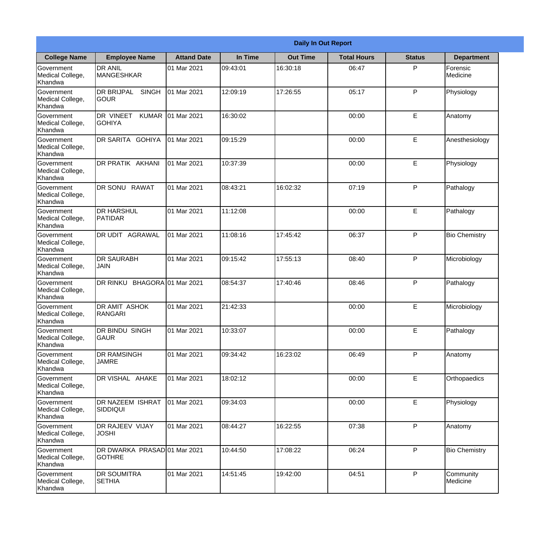|                                                  |                                                   |                     |          | <b>Daily In Out Report</b> |                    |               |                       |
|--------------------------------------------------|---------------------------------------------------|---------------------|----------|----------------------------|--------------------|---------------|-----------------------|
| <b>College Name</b>                              | <b>Employee Name</b>                              | <b>Attand Date</b>  | In Time  | <b>Out Time</b>            | <b>Total Hours</b> | <b>Status</b> | <b>Department</b>     |
| Government<br>Medical College,<br>Khandwa        | <b>DR ANIL</b><br><b>MANGESHKAR</b>               | 01 Mar 2021         | 09:43:01 | 16:30:18                   | 06:47              | P             | Forensic<br>Medicine  |
| Government<br>Medical College,<br>Khandwa        | <b>DR BRIJPAL</b><br><b>SINGH</b><br> GOUR        | 01 Mar 2021         | 12:09:19 | 17:26:55                   | 05:17              | P             | Physiology            |
| <b>Government</b><br>Medical College,<br>Khandwa | <b>DR VINEET</b><br><b>KUMAR</b><br><b>GOHIYA</b> | 01 Mar 2021         | 16:30:02 |                            | 00:00              | E             | Anatomy               |
| Government<br>Medical College,<br>Khandwa        | DR SARITA GOHIYA                                  | 01 Mar 2021         | 09:15:29 |                            | 00:00              | E             | Anesthesiology        |
| Government<br>Medical College,<br>Khandwa        | <b>DR PRATIK AKHANI</b>                           | 01 Mar 2021         | 10:37:39 |                            | 00:00              | E             | Physiology            |
| Government<br>Medical College,<br>Khandwa        | DR SONU RAWAT                                     | 01 Mar 2021         | 08:43:21 | 16:02:32                   | 07:19              | P             | Pathalogy             |
| Government<br>Medical College,<br>Khandwa        | <b>I</b> DR HARSHUL<br><b>PATIDAR</b>             | 01 Mar 2021         | 11:12:08 |                            | 00:00              | E             | Pathalogy             |
| Government<br>Medical College,<br>Khandwa        | DR UDIT AGRAWAL                                   | 01 Mar 2021         | 11:08:16 | 17:45:42                   | 06:37              | P             | <b>Bio Chemistry</b>  |
| Government<br>Medical College,<br>Khandwa        | <b>DR SAURABH</b><br><b>JAIN</b>                  | 01 Mar 2021         | 09:15:42 | 17:55:13                   | 08:40              | P             | Microbiology          |
| Government<br>Medical College,<br>Khandwa        | DR RINKU                                          | BHAGORA 01 Mar 2021 | 08:54:37 | 17:40:46                   | 08:46              | P             | Pathalogy             |
| Government<br>Medical College,<br>Khandwa        | <b>DR AMIT ASHOK</b><br><b>RANGARI</b>            | 01 Mar 2021         | 21:42:33 |                            | 00:00              | E             | Microbiology          |
| Government<br>Medical College,<br>Khandwa        | <b>DR BINDU SINGH</b><br><b>GAUR</b>              | 01 Mar 2021         | 10:33:07 |                            | 00:00              | E             | Pathalogy             |
| Government<br>Medical College,<br>Khandwa        | <b>DR RAMSINGH</b><br><b>JAMRE</b>                | 01 Mar 2021         | 09:34:42 | 16:23:02                   | 06:49              | P             | Anatomy               |
| Government<br>Medical College,<br>Khandwa        | DR VISHAL AHAKE                                   | 01 Mar 2021         | 18:02:12 |                            | 00:00              | E             | Orthopaedics          |
| Government<br>Medical College,<br>Khandwa        | <b>DR NAZEEM ISHRAT</b><br>SIDDIQUI               | 01 Mar 2021         | 09:34:03 |                            | 00:00              | E             | Physiology            |
| Government<br>Medical College,<br>Khandwa        | <b>DR RAJEEV VIJAY</b><br><b>JOSHI</b>            | 01 Mar 2021         | 08:44:27 | 16:22:55                   | 07:38              | P             | Anatomy               |
| Government<br>Medical College,<br>Khandwa        | DR DWARKA PRASAD 01 Mar 2021<br><b>GOTHRE</b>     |                     | 10:44:50 | 17:08:22                   | 06:24              | P             | <b>Bio Chemistry</b>  |
| Government<br>Medical College,<br>Khandwa        | <b>DR SOUMITRA</b><br><b>SETHIA</b>               | 01 Mar 2021         | 14:51:45 | 19:42:00                   | 04:51              | P             | Community<br>Medicine |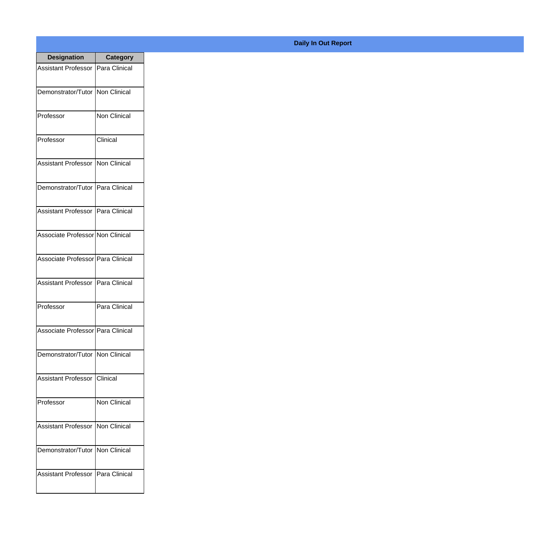| <b>Designation</b>                  | <b>Category</b>     |
|-------------------------------------|---------------------|
| Assistant Professor   Para Clinical |                     |
| Demonstrator/Tutor   Non Clinical   |                     |
| Professor                           | Non Clinical        |
| Professor                           | Clinical            |
| <b>Assistant Professor</b>          | <b>Non Clinical</b> |
| Demonstrator/Tutor   Para Clinical  |                     |
| Assistant Professor   Para Clinical |                     |
| Associate Professor Non Clinical    |                     |
| Associate Professor   Para Clinical |                     |
| <b>Assistant Professor</b>          | Para Clinical       |
| Professor                           | Para Clinical       |
| Associate Professor   Para Clinical |                     |
| Demonstrator/Tutor   Non Clinical   |                     |
| Assistant Professor   Clinical      |                     |
| Professor                           | Non Clinical        |
| <b>Assistant Professor</b>          | Non Clinical        |
| Demonstrator/Tutor   Non Clinical   |                     |
| Assistant Professor   Para Clinical |                     |

## **Daily In Out Report**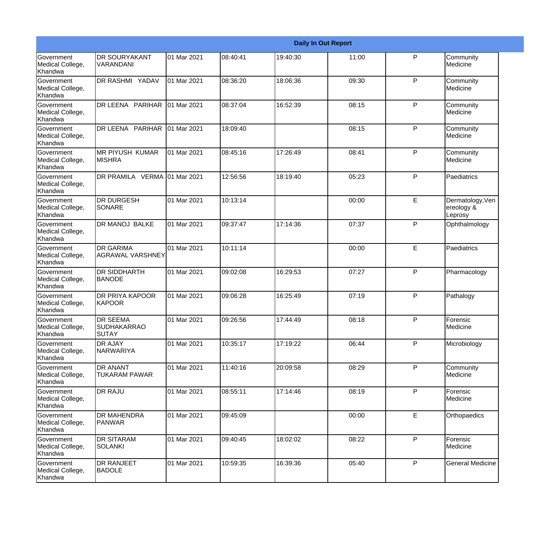|                                                  |                                                       |             |          |          | <b>Daily In Out Report</b> |              |                                           |
|--------------------------------------------------|-------------------------------------------------------|-------------|----------|----------|----------------------------|--------------|-------------------------------------------|
| Government<br>Medical College,<br>Khandwa        | <b>DR SOURYAKANT</b><br><b>VARANDANI</b>              | 01 Mar 2021 | 08:40:41 | 19:40:30 | 11:00                      | P            | Community<br>Medicine                     |
| <b>Government</b><br>Medical College,<br>Khandwa | DR RASHMI YADAV                                       | 01 Mar 2021 | 08:36:20 | 18:06:36 | 09:30                      | P            | Community<br>Medicine                     |
| <b>Government</b><br>Medical College,<br>Khandwa | DR LEENA PARIHAR                                      | 01 Mar 2021 | 08:37:04 | 16:52:39 | 08:15                      | P            | Community<br>Medicine                     |
| <b>Government</b><br>Medical College,<br>Khandwa | DR LEENA PARIHAR                                      | 01 Mar 2021 | 18:09:40 |          | 08:15                      | P            | Community<br>Medicine                     |
| Government<br>Medical College,<br><b>Khandwa</b> | <b>MR PIYUSH KUMAR</b><br><b>MISHRA</b>               | 01 Mar 2021 | 08:45:16 | 17:26:49 | 08:41                      | P            | Community<br>Medicine                     |
| Government<br>Medical College,<br>Khandwa        | DR PRAMILA VERMA 01 Mar 2021                          |             | 12:56:56 | 18:19:40 | 05:23                      | P            | Paediatrics                               |
| Government<br>Medical College,<br>Khandwa        | <b>DR DURGESH</b><br>SONARE                           | 01 Mar 2021 | 10:13:14 |          | 00:00                      | E            | Dermatology, Ven<br>ereology &<br>Leprosy |
| Government<br>Medical College,<br>Khandwa        | DR MANOJ BALKE                                        | 01 Mar 2021 | 09:37:47 | 17:14:36 | 07:37                      | $\mathsf{P}$ | Ophthalmology                             |
| Government<br>Medical College,<br>Khandwa        | <b>DR GARIMA</b><br><b>AGRAWAL VARSHNEY</b>           | 01 Mar 2021 | 10:11:14 |          | 00:00                      | E            | Paediatrics                               |
| <b>Government</b><br>Medical College,<br>Khandwa | <b>DR SIDDHARTH</b><br><b>BANODE</b>                  | 01 Mar 2021 | 09:02:08 | 16:29:53 | 07:27                      | P            | Pharmacology                              |
| <b>Government</b><br>Medical College,<br>Khandwa | <b>DR PRIYA KAPOOR</b><br>KAPOOR                      | 01 Mar 2021 | 09:06:28 | 16:25:49 | 07:19                      | P            | Pathalogy                                 |
| Government<br>Medical College,<br>Khandwa        | <b>DR SEEMA</b><br><b>SUDHAKARRAO</b><br><b>SUTAY</b> | 01 Mar 2021 | 09:26:56 | 17:44:49 | 08:18                      | P            | Forensic<br>Medicine                      |
| Government<br>Medical College,<br>Khandwa        | <b>DR AJAY</b><br>NARWARIYA                           | 01 Mar 2021 | 10:35:17 | 17:19:22 | 06:44                      | $\mathsf{P}$ | Microbiology                              |
| Government<br>Medical College,<br>Khandwa        | <b>DR ANANT</b><br>TUKARAM PAWAR                      | 01 Mar 2021 | 11:40:16 | 20:09:58 | 08:29                      | $\mathsf{P}$ | Community<br>Medicine                     |
| Government<br>Medical College,<br>Khandwa        | <b>DR RAJU</b>                                        | 01 Mar 2021 | 08:55:11 | 17:14:46 | 08:19                      | P            | Forensic<br>Medicine                      |
| Government<br>Medical College,<br>Khandwa        | <b>DR MAHENDRA</b><br>PANWAR                          | 01 Mar 2021 | 09:45:09 |          | 00:00                      | E            | Orthopaedics                              |
| Government<br>Medical College,<br>Khandwa        | <b>DR SITARAM</b><br><b>SOLANKI</b>                   | 01 Mar 2021 | 09:40:45 | 18:02:02 | 08:22                      | $\mathsf{P}$ | Forensic<br>Medicine                      |
| Government<br>Medical College,<br>Khandwa        | <b>DR RANJEET</b><br><b>BADOLE</b>                    | 01 Mar 2021 | 10:59:35 | 16:39:36 | 05:40                      | $\mathsf{P}$ | <b>General Medicine</b>                   |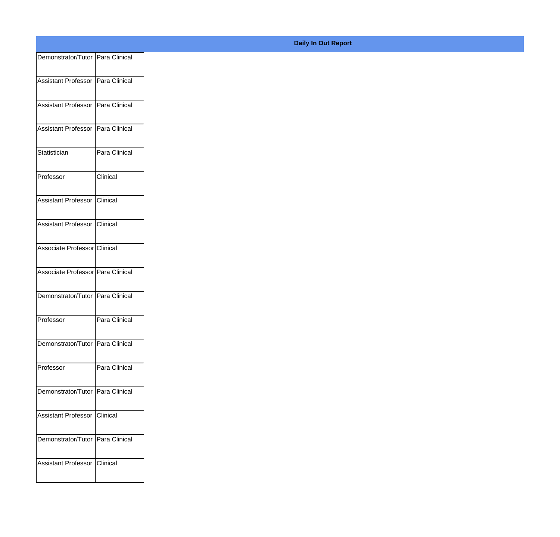| Demonstrator/Tutor Para Clinical    |
|-------------------------------------|
| Assistant Professor   Para Clinical |
|                                     |
| Assistant Professor   Para Clinical |
| Assistant Professor   Para Clinical |
|                                     |
| Para Clinical                       |
| Clinical                            |
|                                     |
| Assistant Professor Clinical        |
| Assistant Professor Clinical        |
|                                     |
| Associate Professor Clinical        |
| Associate Professor Para Clinical   |
| Demonstrator/Tutor Para Clinical    |
|                                     |
| Para Clinical                       |
| Demonstrator/Tutor Para Clinical    |
|                                     |
| Para Clinical                       |
| Demonstrator/Tutor Para Clinical    |
|                                     |
| Assistant Professor Clinical        |
| Demonstrator/Tutor   Para Clinical  |
|                                     |
| Assistant Professor Clinical        |
|                                     |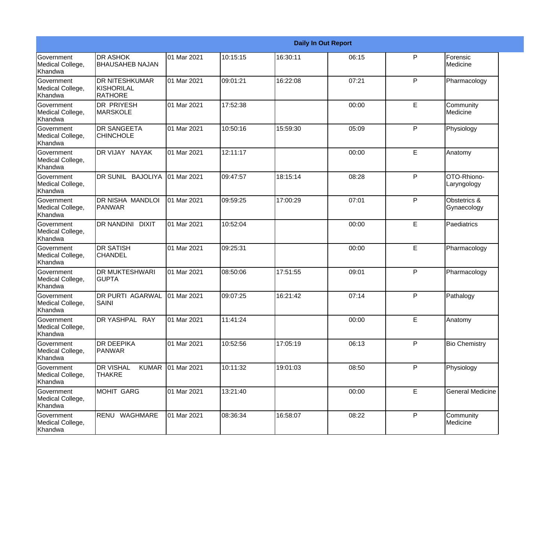|                                                  |                                                       |             |          |          | <b>Daily In Out Report</b> |   |                             |
|--------------------------------------------------|-------------------------------------------------------|-------------|----------|----------|----------------------------|---|-----------------------------|
| Government<br>Medical College,<br>Khandwa        | <b>DR ASHOK</b><br><b>BHAUSAHEB NAJAN</b>             | 01 Mar 2021 | 10:15:15 | 16:30:11 | 06:15                      | P | Forensic<br>Medicine        |
| Government<br>Medical College,<br>Khandwa        | <b>DR NITESHKUMAR</b><br>KISHORILAL<br><b>RATHORE</b> | 01 Mar 2021 | 09:01:21 | 16:22:08 | 07:21                      | P | Pharmacology                |
| Government<br>Medical College,<br>Khandwa        | <b>DR PRIYESH</b><br>MARSKOLE                         | 01 Mar 2021 | 17:52:38 |          | 00:00                      | E | Community<br>Medicine       |
| Government<br>Medical College,<br>Khandwa        | <b>DR SANGEETA</b><br><b>CHINCHOLE</b>                | 01 Mar 2021 | 10:50:16 | 15:59:30 | 05:09                      | P | Physiology                  |
| <b>Government</b><br>Medical College,<br>Khandwa | DR VIJAY NAYAK                                        | 01 Mar 2021 | 12:11:17 |          | 00:00                      | E | Anatomy                     |
| Government<br>Medical College,<br>Khandwa        | DR SUNIL BAJOLIYA                                     | 01 Mar 2021 | 09:47:57 | 18:15:14 | 08:28                      | P | OTO-Rhiono-<br>Laryngology  |
| <b>Government</b><br>Medical College,<br>Khandwa | DR NISHA MANDLOI<br>PANWAR                            | 01 Mar 2021 | 09:59:25 | 17:00:29 | 07:01                      | P | Obstetrics &<br>Gynaecology |
| Government<br>Medical College,<br>Khandwa        | DR NANDINI DIXIT                                      | 01 Mar 2021 | 10:52:04 |          | 00:00                      | E | Paediatrics                 |
| Government<br>Medical College,<br>Khandwa        | <b>DR SATISH</b><br><b>CHANDEL</b>                    | 01 Mar 2021 | 09:25:31 |          | 00:00                      | E | Pharmacology                |
| <b>Government</b><br>Medical College,<br>Khandwa | <b>DR MUKTESHWARI</b><br><b>GUPTA</b>                 | 01 Mar 2021 | 08:50:06 | 17:51:55 | 09:01                      | P | Pharmacology                |
| Government<br>Medical College,<br>Khandwa        | <b>DR PURTI AGARWAL</b><br><b>SAINI</b>               | 01 Mar 2021 | 09:07:25 | 16:21:42 | 07:14                      | P | Pathalogy                   |
| Government<br>Medical College,<br>Khandwa        | DR YASHPAL RAY                                        | 01 Mar 2021 | 11:41:24 |          | 00:00                      | E | Anatomy                     |
| Government<br>Medical College,<br>Khandwa        | <b>DR DEEPIKA</b><br><b>PANWAR</b>                    | 01 Mar 2021 | 10:52:56 | 17:05:19 | 06:13                      | P | <b>Bio Chemistry</b>        |
| Government<br>Medical College,<br>Khandwa        | <b>DR VISHAL</b><br><b>KUMAR</b><br><b>THAKRE</b>     | 01 Mar 2021 | 10:11:32 | 19:01:03 | 08:50                      | P | Physiology                  |
| Government<br>Medical College,<br>Khandwa        | <b>MOHIT GARG</b>                                     | 01 Mar 2021 | 13:21:40 |          | 00:00                      | E | <b>General Medicine</b>     |
| Government<br>Medical College,<br>Khandwa        | RENU WAGHMARE                                         | 01 Mar 2021 | 08:36:34 | 16:58:07 | 08:22                      | P | Community<br>Medicine       |